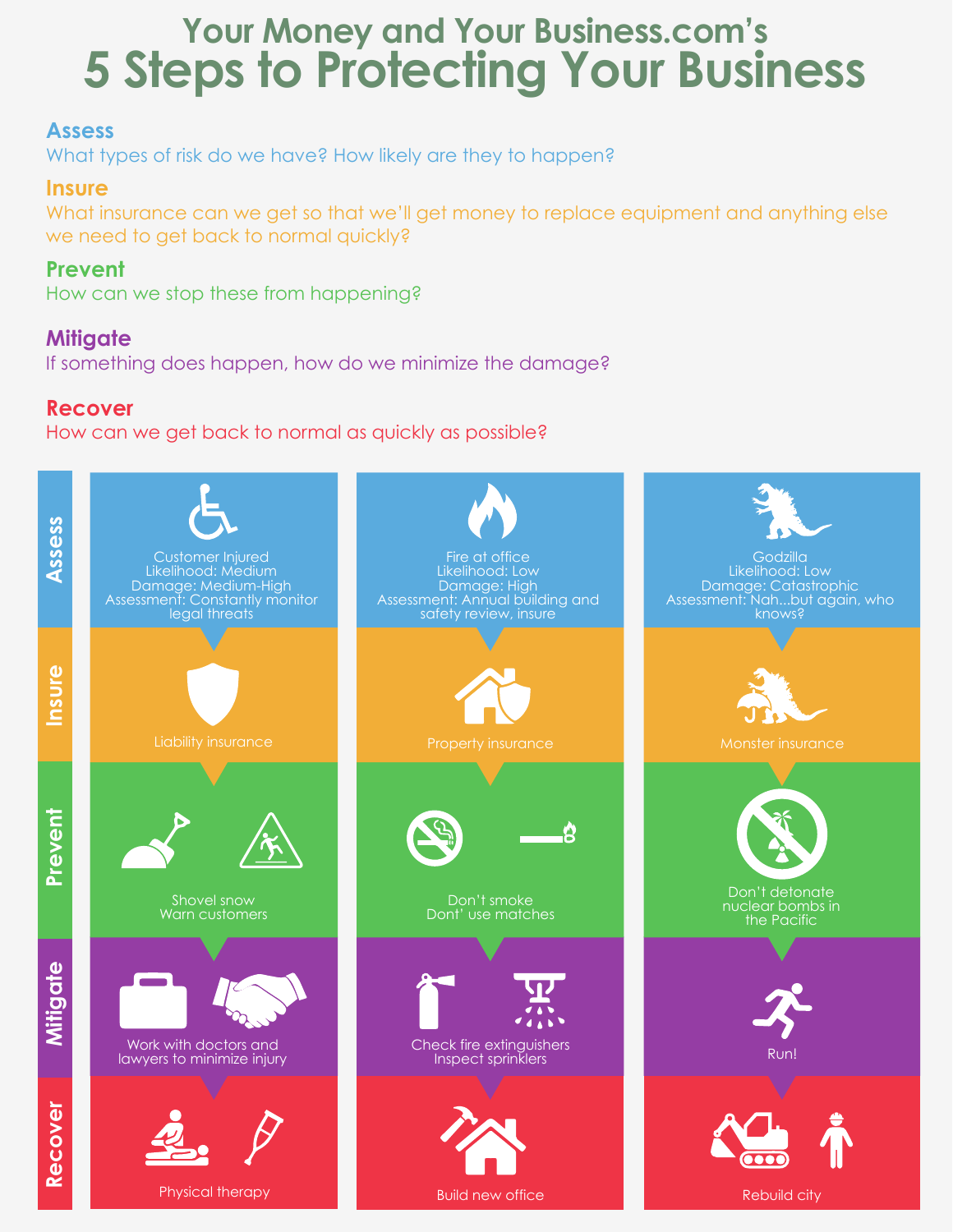# **5 Steps to Protecting Your Business Your Money and Your Business.com's**

# **Assess**

What types of risk do we have? How likely are they to happen?

### **Insure**

What insurance can we get so that we'll get money to replace equipment and anything else we need to get back to normal quickly?

### **Prevent**

How can we stop these from happening?

# **Mitigate**

If something does happen, how do we minimize the damage?

# **Recover**

How can we get back to normal as quickly as possible?

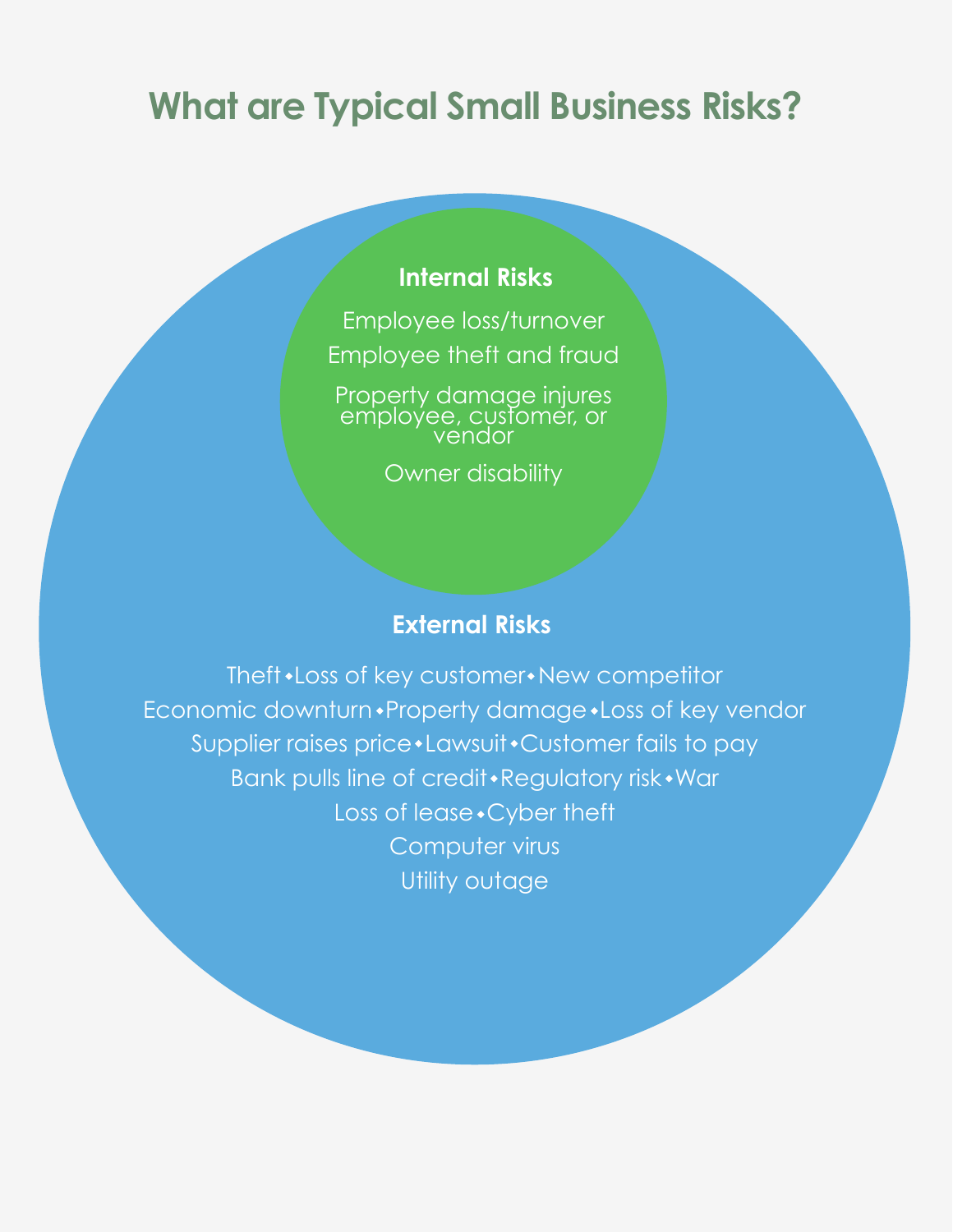# **What are Typical Small Business Risks?**

# **Internal Risks**

Employee loss/turnover Employee theft and fraud

Property damage injures employee, customer, or vendor

Owner disability

# **External Risks**

Theft • Loss of key customer • New competitor Economic downturn • Property damage • Loss of key vendor Supplier raises price \* Lawsuit \* Customer fails to pay Bank pulls line of credit • Regulatory risk • War Loss of lease • Cyber theft Computer virus Utility outage